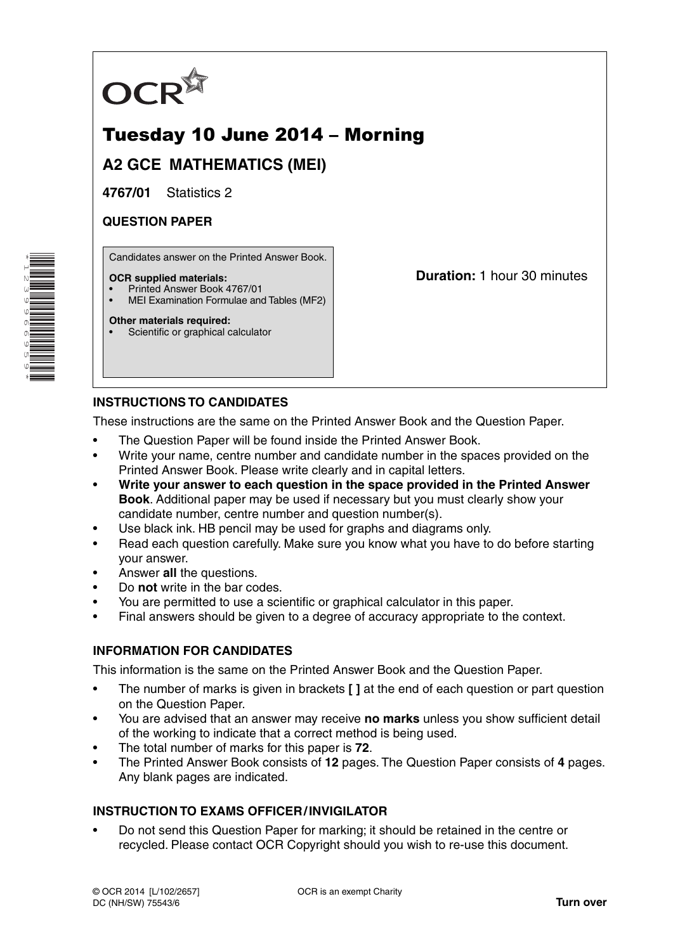

# Tuesday 10 June 2014 – Morning

**A2 GCE MATHEMATICS (MEI)**

**4767/01** Statistics 2

# **QUESTION PAPER**

Candidates answer on the Printed Answer Book.

#### **OCR supplied materials:**

- Printed Answer Book 4767/01
- MEI Examination Formulae and Tables (MF2)

#### **Other materials required:**

Scientific or graphical calculator

**Duration:** 1 hour 30 minutes

# **INSTRUCTIONS TO CANDIDATES**

These instructions are the same on the Printed Answer Book and the Question Paper.

- The Question Paper will be found inside the Printed Answer Book.
- Write your name, centre number and candidate number in the spaces provided on the Printed Answer Book. Please write clearly and in capital letters.
- **Write your answer to each question in the space provided in the Printed Answer Book**. Additional paper may be used if necessary but you must clearly show your candidate number, centre number and question number(s).
- Use black ink. HB pencil may be used for graphs and diagrams only.
- Read each question carefully. Make sure you know what you have to do before starting your answer.
- Answer **all** the questions.
- Do **not** write in the bar codes.
- You are permitted to use a scientific or graphical calculator in this paper.
- Final answers should be given to a degree of accuracy appropriate to the context.

### **INFORMATION FOR CANDIDATES**

This information is the same on the Printed Answer Book and the Question Paper.

- The number of marks is given in brackets **[ ]** at the end of each question or part question on the Question Paper.
- You are advised that an answer may receive **no marks** unless you show sufficient detail of the working to indicate that a correct method is being used.
- The total number of marks for this paper is **72**.
- The Printed Answer Book consists of **12** pages. The Question Paper consists of **4** pages. Any blank pages are indicated.

### **INSTRUCTION TO EXAMS OFFICER / INVIGILATOR**

• Do not send this Question Paper for marking; it should be retained in the centre or recycled. Please contact OCR Copyright should you wish to re-use this document.

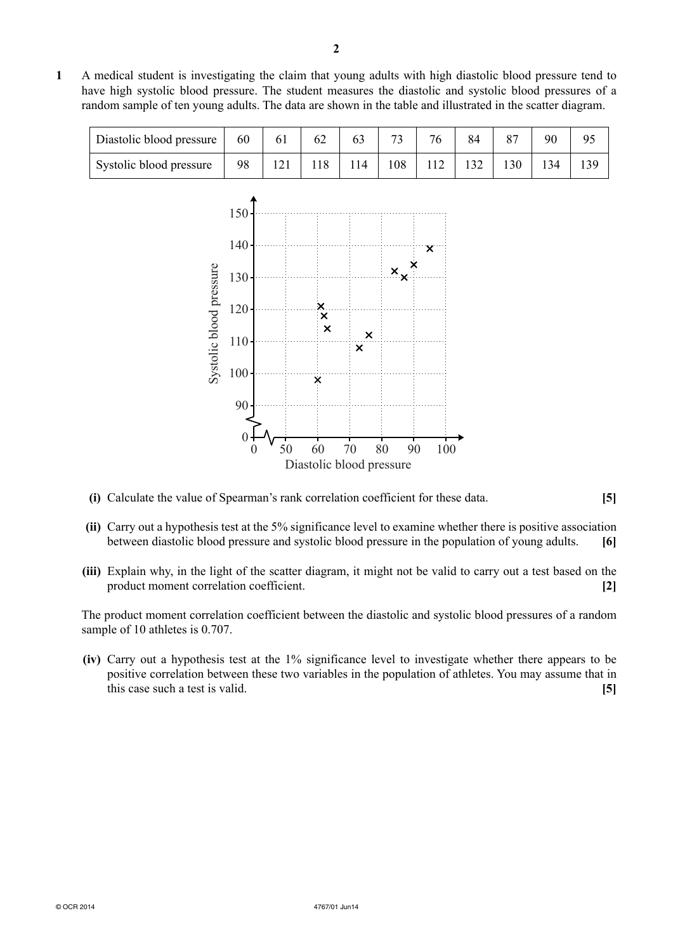**1** A medical student is investigating the claim that young adults with high diastolic blood pressure tend to have high systolic blood pressure. The student measures the diastolic and systolic blood pressures of a random sample of ten young adults. The data are shown in the table and illustrated in the scatter diagram.

| Diastolic blood pressure | 60 | 61 |    | 76 | 84  |    | ۹ſ |  |
|--------------------------|----|----|----|----|-----|----|----|--|
| Systolic blood pressure  | 98 |    | 14 |    | 132 | 30 |    |  |



- **(i)** Calculate the value of Spearman's rank correlation coefficient for these data. **[5]**
- **(ii)** Carry out a hypothesis test at the 5% significance level to examine whether there is positive association between diastolic blood pressure and systolic blood pressure in the population of young adults. **[6]**
- **(iii)** Explain why, in the light of the scatter diagram, it might not be valid to carry out a test based on the product moment correlation coefficient. **[2]**

The product moment correlation coefficient between the diastolic and systolic blood pressures of a random sample of 10 athletes is 0.707.

 **(iv)** Carry out a hypothesis test at the 1% significance level to investigate whether there appears to be positive correlation between these two variables in the population of athletes. You may assume that in this case such a test is valid. **[5]**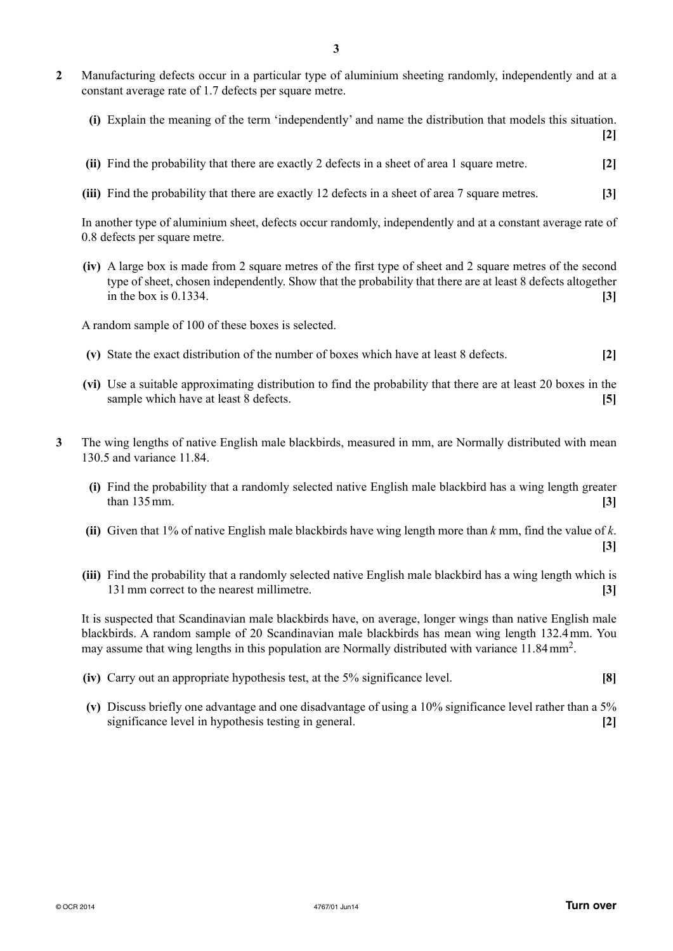- **2** Manufacturing defects occur in a particular type of aluminium sheeting randomly, independently and at a constant average rate of 1.7 defects per square metre.
	- **(i)** Explain the meaning of the term 'independently' and name the distribution that models this situation.

**[2]**

**[3]**

- **(ii)** Find the probability that there are exactly 2 defects in a sheet of area 1 square metre. **[2]**
- **(iii)** Find the probability that there are exactly 12 defects in a sheet of area 7 square metres. **[3]**

In another type of aluminium sheet, defects occur randomly, independently and at a constant average rate of 0.8 defects per square metre.

 **(iv)** A large box is made from 2 square metres of the first type of sheet and 2 square metres of the second type of sheet, chosen independently. Show that the probability that there are at least 8 defects altogether in the box is 0.1334. **[3]**

A random sample of 100 of these boxes is selected.

- **(v)** State the exact distribution of the number of boxes which have at least 8 defects. **[2]**
- **(vi)** Use a suitable approximating distribution to find the probability that there are at least 20 boxes in the sample which have at least 8 defects. **[5]**
- **3** The wing lengths of native English male blackbirds, measured in mm, are Normally distributed with mean 130.5 and variance 11.84.
	- **(i)** Find the probability that a randomly selected native English male blackbird has a wing length greater than 135 mm. **[3]**
	- **(ii)** Given that 1% of native English male blackbirds have wing length more than *k* mm, find the value of *k*.
	- **(iii)** Find the probability that a randomly selected native English male blackbird has a wing length which is 131 mm correct to the nearest millimetre. **[3]**

It is suspected that Scandinavian male blackbirds have, on average, longer wings than native English male blackbirds. A random sample of 20 Scandinavian male blackbirds has mean wing length 132.4 mm. You may assume that wing lengths in this population are Normally distributed with variance 11.84 mm2.

- **(iv)** Carry out an appropriate hypothesis test, at the 5% significance level. **[8]**
- **(v)** Discuss briefly one advantage and one disadvantage of using a 10% significance level rather than a 5% significance level in hypothesis testing in general. **[2]**